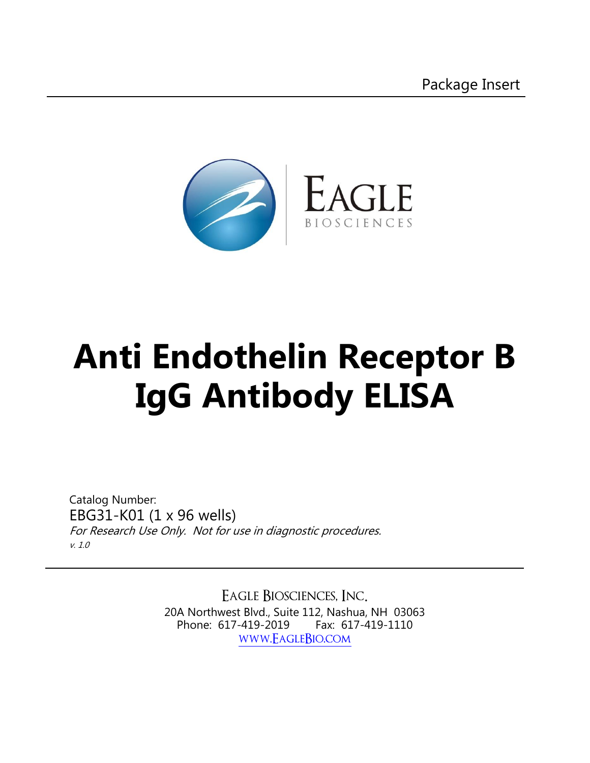

# **Anti Endothelin Receptor B IgG Antibody ELISA**

Catalog Number: EBG31-K01 (1 x 96 wells) For Research Use Only. Not for use in diagnostic procedures. v. 1.0

> Eagle Biosciences, Inc. 20A Northwest Blvd., Suite 112, Nashua, NH 03063 Phone: 617-419-2019 Fax: 617-419-1110 [www.EagleBio.com](http://www.eaglebio.com/)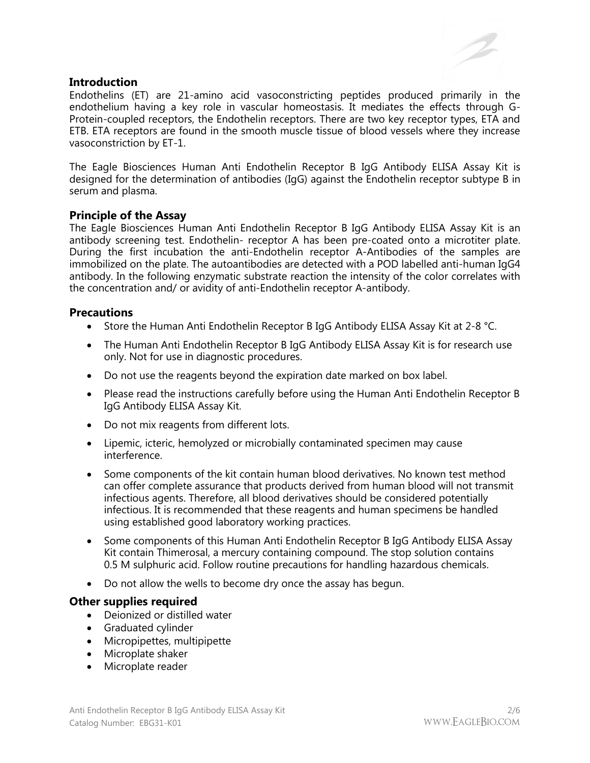## **Introduction**

Endothelins (ET) are 21-amino acid vasoconstricting peptides produced primarily in the endothelium having a key role in vascular homeostasis. It mediates the effects through G-Protein-coupled receptors, the Endothelin receptors. There are two key receptor types, ETA and ETB. ETA receptors are found in the smooth muscle tissue of blood vessels where they increase vasoconstriction by ET-1.

The Eagle Biosciences Human Anti Endothelin Receptor B IgG Antibody ELISA Assay Kit is designed for the determination of antibodies (IgG) against the Endothelin receptor subtype B in serum and plasma.

## **Principle of the Assay**

The Eagle Biosciences Human Anti Endothelin Receptor B IgG Antibody ELISA Assay Kit is an antibody screening test. Endothelin- receptor A has been pre-coated onto a microtiter plate. During the first incubation the anti-Endothelin receptor A-Antibodies of the samples are immobilized on the plate. The autoantibodies are detected with a POD labelled anti-human IgG4 antibody. In the following enzymatic substrate reaction the intensity of the color correlates with the concentration and/ or avidity of anti-Endothelin receptor A-antibody.

# **Precautions**

- Store the Human Anti Endothelin Receptor B IgG Antibody ELISA Assay Kit at 2-8 °C.
- The Human Anti Endothelin Receptor B IgG Antibody ELISA Assay Kit is for research use only. Not for use in diagnostic procedures.
- Do not use the reagents beyond the expiration date marked on box label.
- Please read the instructions carefully before using the Human Anti Endothelin Receptor B IgG Antibody ELISA Assay Kit.
- Do not mix reagents from different lots.
- Lipemic, icteric, hemolyzed or microbially contaminated specimen may cause interference.
- Some components of the kit contain human blood derivatives. No known test method can offer complete assurance that products derived from human blood will not transmit infectious agents. Therefore, all blood derivatives should be considered potentially infectious. It is recommended that these reagents and human specimens be handled using established good laboratory working practices.
- Some components of this Human Anti Endothelin Receptor B IgG Antibody ELISA Assay Kit contain Thimerosal, a mercury containing compound. The stop solution contains 0.5 M sulphuric acid. Follow routine precautions for handling hazardous chemicals.
- Do not allow the wells to become dry once the assay has begun.

## **Other supplies required**

- Deionized or distilled water
- Graduated cylinder
- Micropipettes, multipipette
- Microplate shaker
- Microplate reader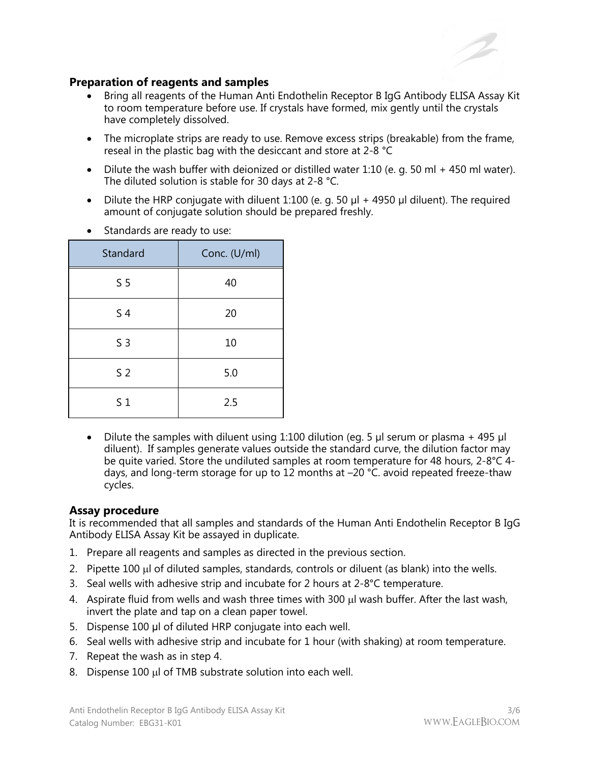

# **Preparation of reagents and samples**

- Bring all reagents of the Human Anti Endothelin Receptor B IgG Antibody ELISA Assay Kit to room temperature before use. If crystals have formed, mix gently until the crystals have completely dissolved.
- The microplate strips are ready to use. Remove excess strips (breakable) from the frame, reseal in the plastic bag with the desiccant and store at 2-8 °C
- Dilute the wash buffer with deionized or distilled water 1:10 (e. g. 50 ml + 450 ml water). The diluted solution is stable for 30 days at 2-8 °C.
- Dilute the HRP conjugate with diluent 1:100 (e. g. 50  $\mu$ l + 4950  $\mu$ l diluent). The required amount of conjugate solution should be prepared freshly.

| Standard       | Conc. (U/ml) |
|----------------|--------------|
| S <sub>5</sub> | 40           |
| S <sub>4</sub> | 20           |
| S <sub>3</sub> | 10           |
| S <sub>2</sub> | 5.0          |
| S <sub>1</sub> | 2.5          |

• Standards are ready to use:

Dilute the samples with diluent using 1:100 dilution (eg. 5 µl serum or plasma + 495 µl diluent). If samples generate values outside the standard curve, the dilution factor may be quite varied. Store the undiluted samples at room temperature for 48 hours, 2-8°C 4 days, and long-term storage for up to 12 months at –20 °C. avoid repeated freeze-thaw cycles.

## **Assay procedure**

It is recommended that all samples and standards of the Human Anti Endothelin Receptor B IgG Antibody ELISA Assay Kit be assayed in duplicate.

- 1. Prepare all reagents and samples as directed in the previous section.
- 2. Pipette 100 µ of diluted samples, standards, controls or diluent (as blank) into the wells.
- 3. Seal wells with adhesive strip and incubate for 2 hours at 2-8°C temperature.
- 4. Aspirate fluid from wells and wash three times with 300 µl wash buffer. After the last wash, invert the plate and tap on a clean paper towel.
- 5. Dispense 100 μl of diluted HRP conjugate into each well.
- 6. Seal wells with adhesive strip and incubate for 1 hour (with shaking) at room temperature.
- 7. Repeat the wash as in step 4.
- 8. Dispense 100 µl of TMB substrate solution into each well.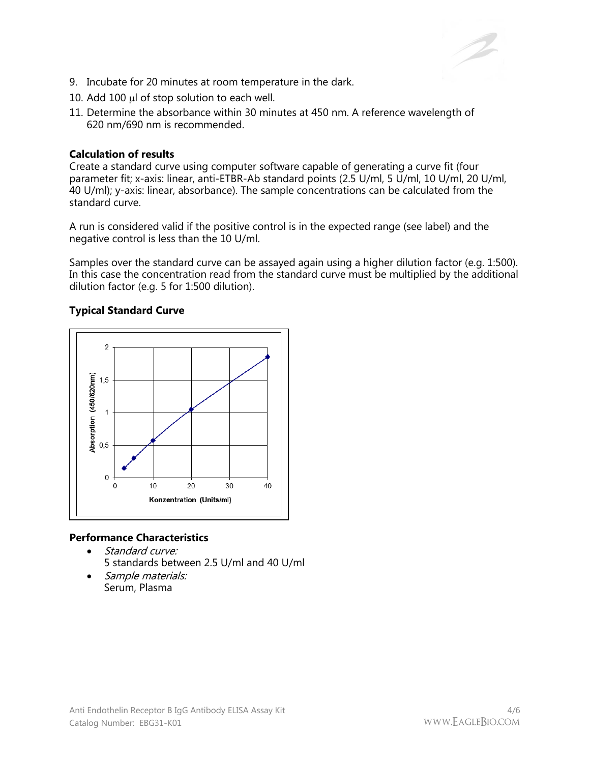

- 9. Incubate for 20 minutes at room temperature in the dark.
- 10. Add 100  $\mu$ l of stop solution to each well.
- 11. Determine the absorbance within 30 minutes at 450 nm. A reference wavelength of 620 nm/690 nm is recommended.

#### **Calculation of results**

Create a standard curve using computer software capable of generating a curve fit (four parameter fit; x-axis: linear, anti-ETBR-Ab standard points (2.5 U/ml, 5 U/ml, 10 U/ml, 20 U/ml, 40 U/ml); y-axis: linear, absorbance). The sample concentrations can be calculated from the standard curve.

A run is considered valid if the positive control is in the expected range (see label) and the negative control is less than the 10 U/ml.

Samples over the standard curve can be assayed again using a higher dilution factor (e.g. 1:500). In this case the concentration read from the standard curve must be multiplied by the additional dilution factor (e.g. 5 for 1:500 dilution).

## **Typical Standard Curve**



## **Performance Characteristics**

- Standard curve: 5 standards between 2.5 U/ml and 40 U/ml
- Sample materials: Serum, Plasma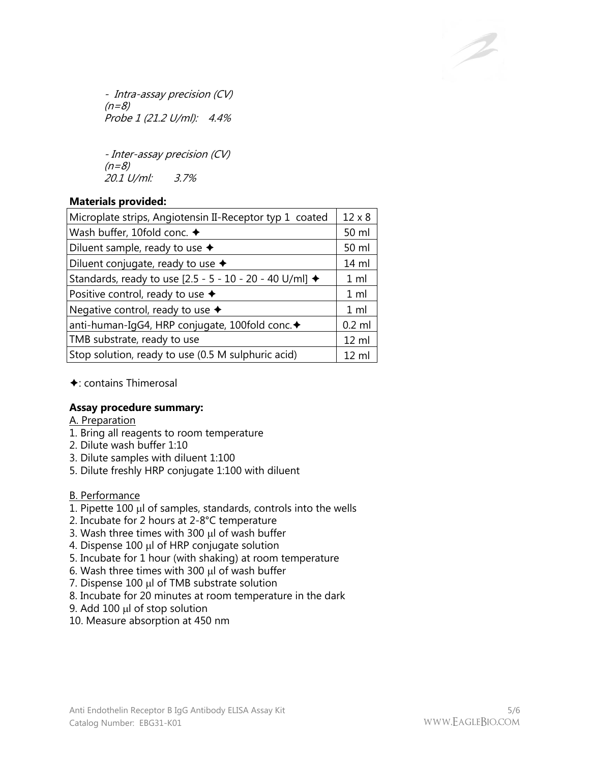- Intra-assay precision (CV)  $(n=8)$ Probe 1 (21.2 U/ml): 4.4%

- Inter-assay precision (CV)  $(n=8)$ 20.1 U/ml: 3.7%

# **Materials provided:**

| Microplate strips, Angiotensin II-Receptor typ 1 coated |                  |
|---------------------------------------------------------|------------------|
| Wash buffer, 10fold conc. ◆                             |                  |
| Diluent sample, ready to use $\triangleleft$            |                  |
| Diluent conjugate, ready to use $\blacklozenge$         | 14 ml            |
| Standards, ready to use [2.5 - 5 - 10 - 20 - 40 U/ml] ◆ | 1 <sub>m</sub>   |
| Positive control, ready to use $\blacklozenge$          |                  |
| Negative control, ready to use $\blacklozenge$          |                  |
| anti-human-IgG4, HRP conjugate, 100fold conc. +         | $0.2$ ml         |
| TMB substrate, ready to use                             |                  |
| Stop solution, ready to use (0.5 M sulphuric acid)      | $12 \mathrm{ml}$ |

 $\triangle$ : contains Thimerosal

# **Assay procedure summary:**

- A. Preparation
- 1. Bring all reagents to room temperature
- 2. Dilute wash buffer 1:10
- 3. Dilute samples with diluent 1:100
- 5. Dilute freshly HRP conjugate 1:100 with diluent
- B. Performance
- 1. Pipette  $100 \mu$  of samples, standards, controls into the wells
- 2. Incubate for 2 hours at 2-8°C temperature
- 3. Wash three times with 300  $\mu$ l of wash buffer
- 4. Dispense 100 µl of HRP conjugate solution
- 5. Incubate for 1 hour (with shaking) at room temperature
- 6. Wash three times with 300  $\mu$ l of wash buffer
- 7. Dispense  $100 \mu l$  of TMB substrate solution
- 8. Incubate for 20 minutes at room temperature in the dark
- 9. Add 100  $\mu$  of stop solution
- 10. Measure absorption at 450 nm